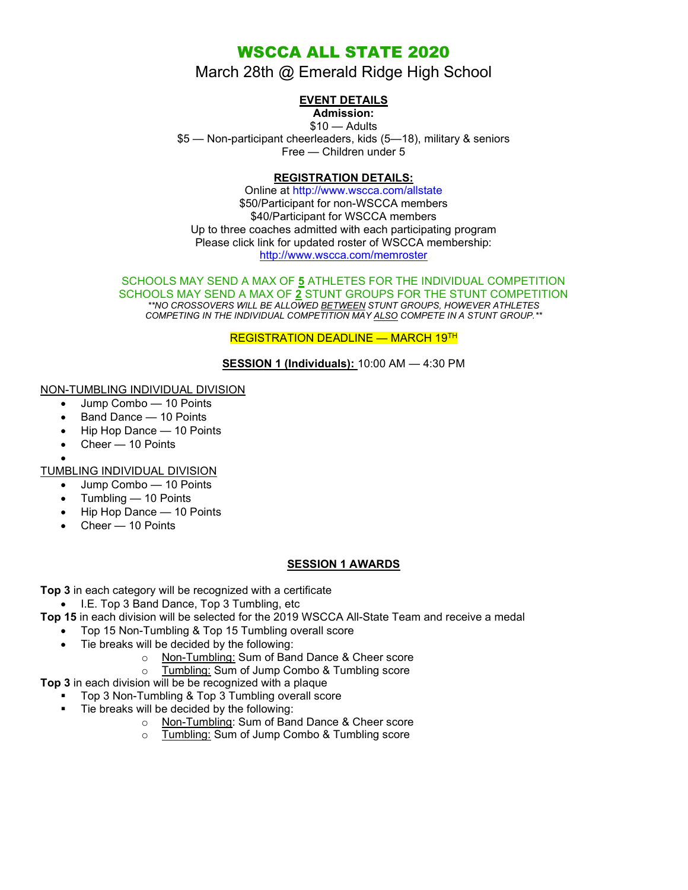# WSCCA ALL STATE 2020

# March 28th @ Emerald Ridge High School

## EVENT DETAILS

## Admission:

 $$10 -$ Adults \$5 — Non-participant cheerleaders, kids (5—18), military & seniors Free — Children under 5

## REGISTRATION DETAILS:

Online at http://www.wscca.com/allstate \$50/Participant for non-WSCCA members \$40/Participant for WSCCA members Up to three coaches admitted with each participating program Please click link for updated roster of WSCCA membership: http://www.wscca.com/memroster

#### SCHOOLS MAY SEND A MAX OF 5 ATHLETES FOR THE INDIVIDUAL COMPETITION SCHOOLS MAY SEND A MAX OF 2 STUNT GROUPS FOR THE STUNT COMPETITION \*\*NO CROSSOVERS WILL BE ALLOWED BETWEEN STUNT GROUPS, HOWEVER ATHLETES COMPETING IN THE INDIVIDUAL COMPETITION MAY ALSO COMPETE IN A STUNT GROUP.\*\*

REGISTRATION DEADLINE - MARCH 19TH

SESSION 1 (Individuals): 10:00 AM - 4:30 PM

## NON-TUMBLING INDIVIDUAL DIVISION

- Jump Combo 10 Points
- Band Dance 10 Points
- Hip Hop Dance 10 Points
- Cheer 10 Points
- $\bullet$

TUMBLING INDIVIDUAL DIVISION

- Jump Combo 10 Points
- Tumbling 10 Points
- Hip Hop Dance 10 Points
- Cheer 10 Points

## SESSION 1 AWARDS

Top 3 in each category will be recognized with a certificate

• I.E. Top 3 Band Dance, Top 3 Tumbling, etc

Top 15 in each division will be selected for the 2019 WSCCA All-State Team and receive a medal

- Top 15 Non-Tumbling & Top 15 Tumbling overall score
- Tie breaks will be decided by the following:
	- o Non-Tumbling: Sum of Band Dance & Cheer score
	- o Tumbling: Sum of Jump Combo & Tumbling score
- Top 3 in each division will be be recognized with a plaque
	- Top 3 Non-Tumbling & Top 3 Tumbling overall score
		- Tie breaks will be decided by the following:
			- o Non-Tumbling: Sum of Band Dance & Cheer score
			- o Tumbling: Sum of Jump Combo & Tumbling score